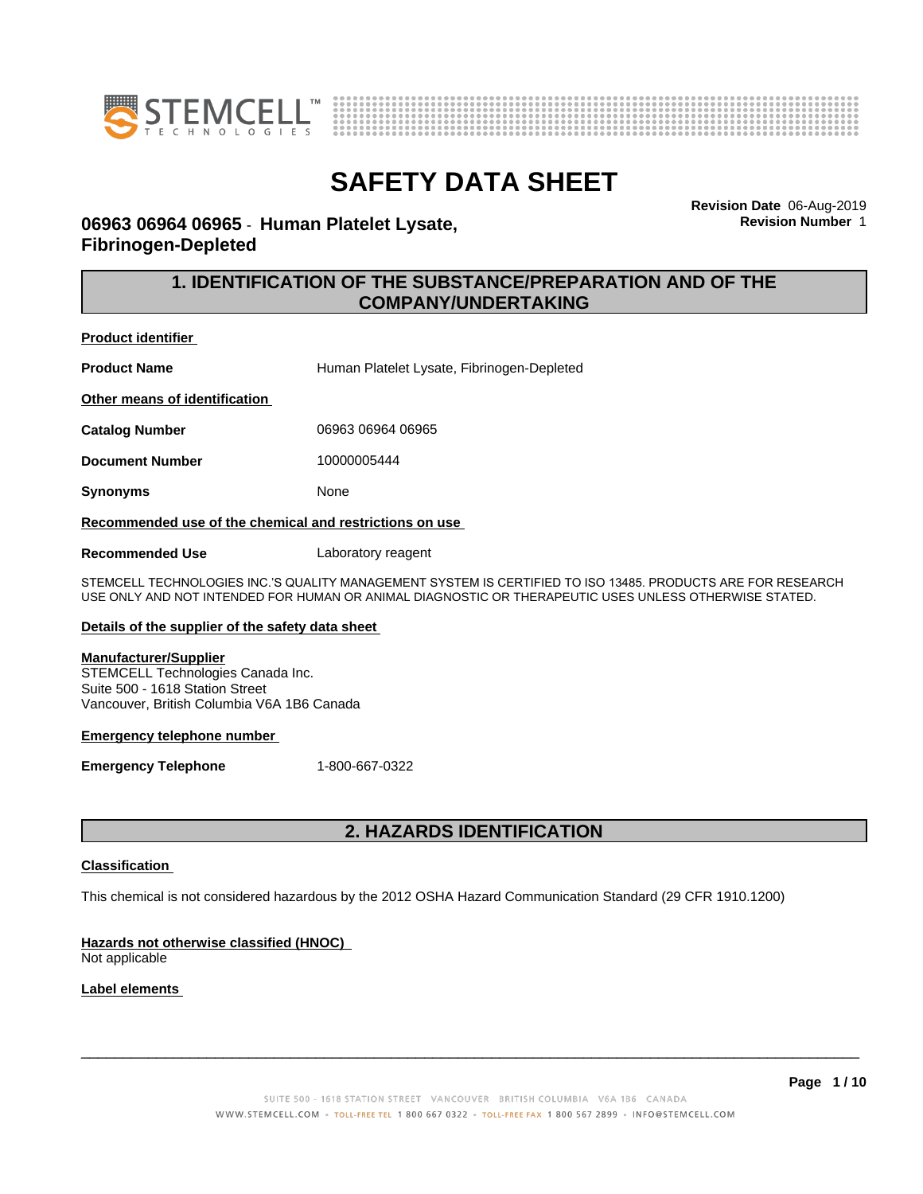



**Revision Date** 06-Aug-2019 **Revision Number** 1

### **06963 06964 06965** - **Human Platelet Lysate, Fibrinogen-Depleted**

### **1. IDENTIFICATION OF THE SUBSTANCE/PREPARATION AND OF THE COMPANY/UNDERTAKING**

**Product identifier**

Product Name<br>
Human Platelet Lysate, Fibrinogen-Depleted

**Other means of identification**

**Catalog Number** 06963 06964 06965

**Document Number** 10000005444

**Synonyms** None

**Recommended use of the chemical and restrictions on use**

**Recommended Use** Laboratory reagent

STEMCELL TECHNOLOGIES INC.'S QUALITY MANAGEMENT SYSTEM IS CERTIFIED TO ISO 13485. PRODUCTS ARE FOR RESEARCH USE ONLY AND NOT INTENDED FOR HUMAN OR ANIMAL DIAGNOSTIC OR THERAPEUTIC USES UNLESS OTHERWISE STATED.

### **Details of the supplier of the safety data sheet**

#### **Manufacturer/Supplier**

STEMCELL Technologies Canada Inc. Suite 500 - 1618 Station Street Vancouver, British Columbia V6A 1B6 Canada

#### **Emergency telephone number**

**Emergency Telephone** 1-800-667-0322

### **2. HAZARDS IDENTIFICATION**

### **Classification**

This chemical is not considered hazardous by the 2012 OSHA Hazard Communication Standard (29 CFR 1910.1200)

### **Hazards not otherwise classified (HNOC)**

Not applicable

### **Label elements**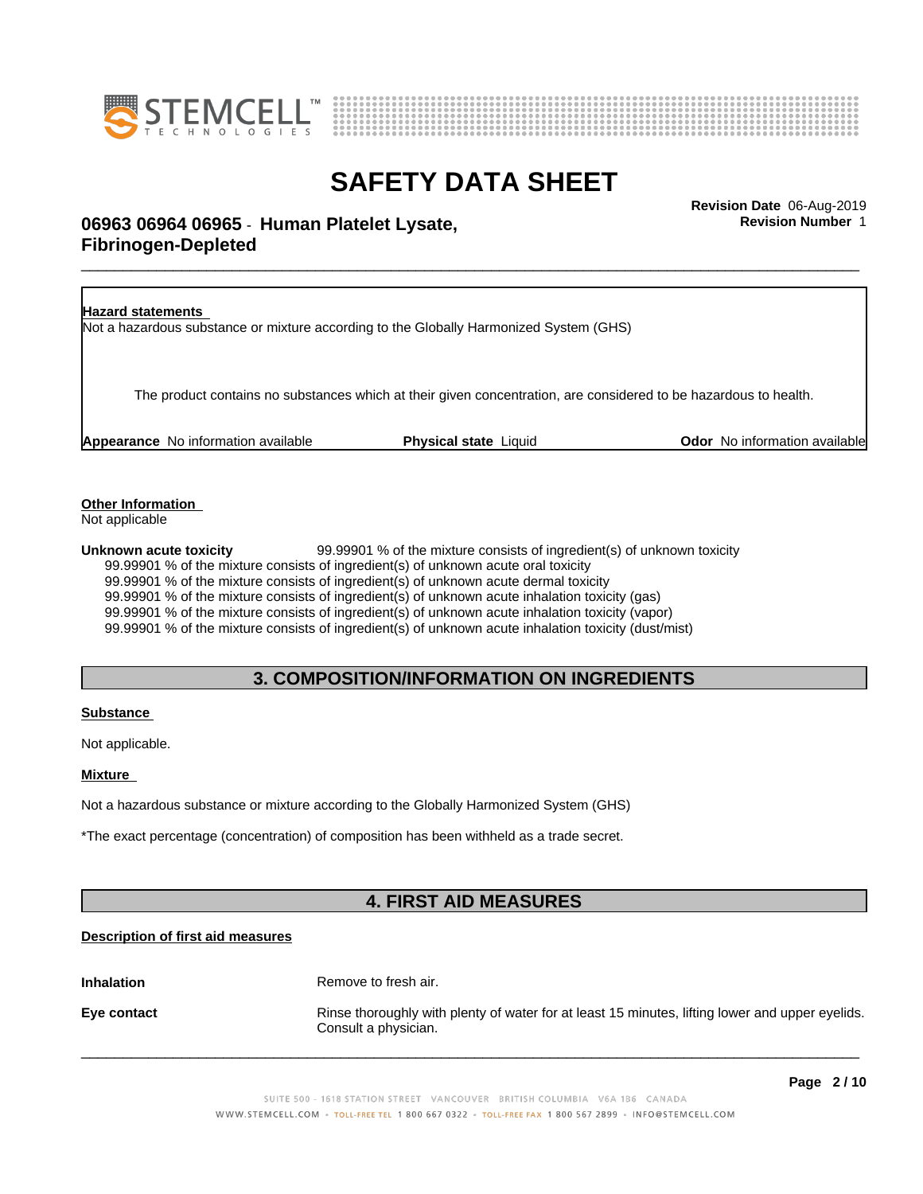



**Revision Number** 1

# \_\_\_\_\_\_\_\_\_\_\_\_\_\_\_\_\_\_\_\_\_\_\_\_\_\_\_\_\_\_\_\_\_\_\_\_\_\_\_\_\_\_\_\_\_\_\_\_\_\_\_\_\_\_\_\_\_\_\_\_\_\_\_\_\_\_\_\_\_\_\_\_\_\_\_\_\_\_\_\_\_\_\_\_\_\_\_\_\_\_\_\_\_ **Revision Date** 06-Aug-2019 **06963 06964 06965** - **Human Platelet Lysate, Fibrinogen-Depleted**

**Hazard statements** Not a hazardous substance or mixture according to the Globally Harmonized System (GHS) The product contains no substances which at their given concentration, are considered to be hazardous to health. **Appearance** No information available **Physical state** Liquid **Department Constant Community Odor** No information available

**Other Information**

Not applicable

**Unknown acute toxicity** 99.99901 % of the mixture consists of ingredient(s) of unknown toxicity 99.99901 % of the mixture consists of ingredient(s) of unknown acute oral toxicity 99.99901 % of the mixture consists of ingredient(s) of unknown acute dermal toxicity 99.99901 % of the mixture consists of ingredient(s) of unknown acute inhalation toxicity (gas) 99.99901 % of the mixture consists of ingredient(s) of unknown acute inhalation toxicity (vapor) 99.99901 % of the mixture consists of ingredient(s) of unknown acute inhalation toxicity (dust/mist)

### **3. COMPOSITION/INFORMATION ON INGREDIENTS**

### **Substance**

Not applicable.

**Mixture**

Not a hazardous substance or mixture according to the Globally Harmonized System (GHS)

\*The exact percentage (concentration) of composition has been withheld as a trade secret.

## **4. FIRST AID MEASURES**

### **Description of first aid measures**

**Inhalation** Remove to fresh air.

**Eye contact Rinse thoroughly with plenty of water for at least 15 minutes, lifting lower and upper eyelids.** Consult a physician.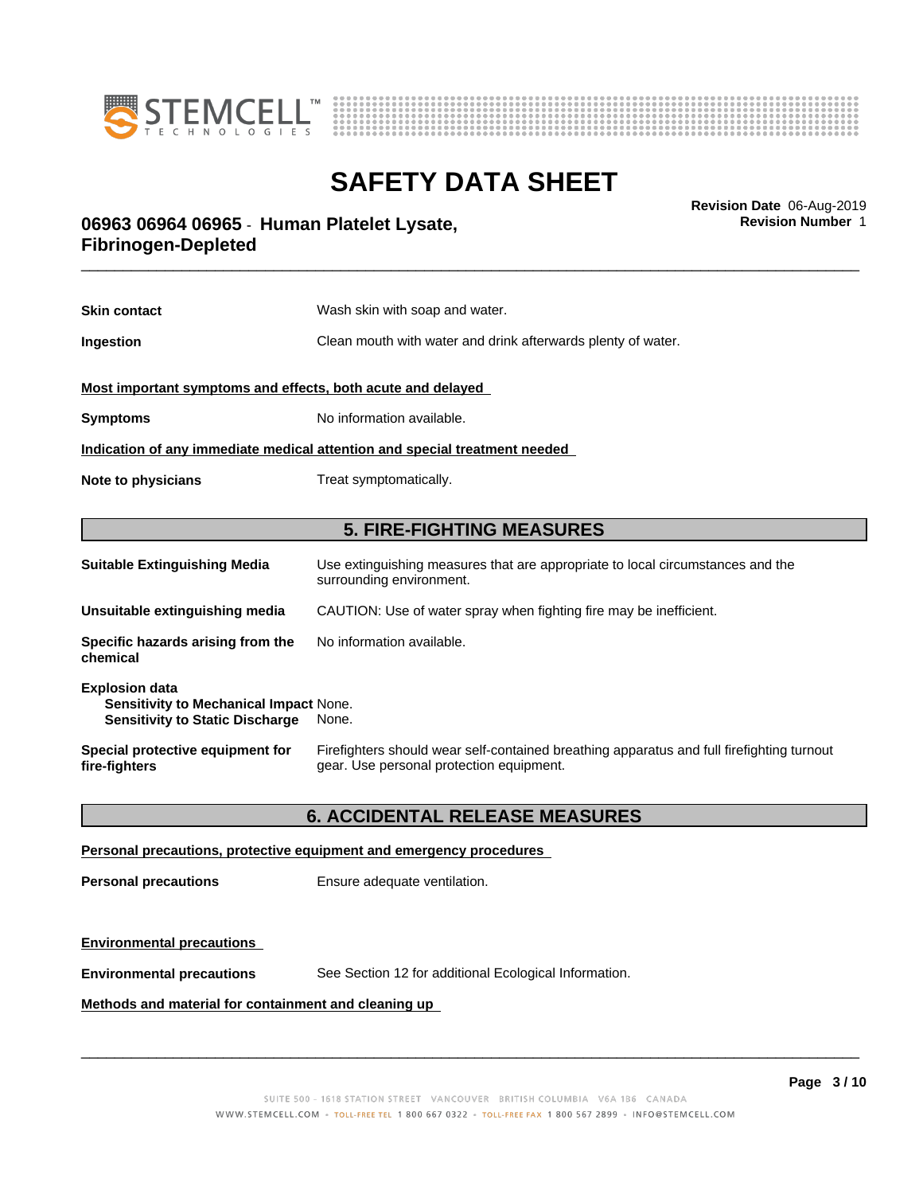



**Revision Number** 1

# \_\_\_\_\_\_\_\_\_\_\_\_\_\_\_\_\_\_\_\_\_\_\_\_\_\_\_\_\_\_\_\_\_\_\_\_\_\_\_\_\_\_\_\_\_\_\_\_\_\_\_\_\_\_\_\_\_\_\_\_\_\_\_\_\_\_\_\_\_\_\_\_\_\_\_\_\_\_\_\_\_\_\_\_\_\_\_\_\_\_\_\_\_ **Revision Date** 06-Aug-2019 **06963 06964 06965** - **Human Platelet Lysate, Fibrinogen-Depleted**

| <b>Skin contact</b>                                                                                                       | Wash skin with soap and water.                                                                                                        |  |
|---------------------------------------------------------------------------------------------------------------------------|---------------------------------------------------------------------------------------------------------------------------------------|--|
| Ingestion                                                                                                                 | Clean mouth with water and drink afterwards plenty of water.                                                                          |  |
| Most important symptoms and effects, both acute and delayed                                                               |                                                                                                                                       |  |
| <b>Symptoms</b>                                                                                                           | No information available.                                                                                                             |  |
| Indication of any immediate medical attention and special treatment needed                                                |                                                                                                                                       |  |
| Note to physicians                                                                                                        | Treat symptomatically.                                                                                                                |  |
|                                                                                                                           |                                                                                                                                       |  |
|                                                                                                                           | <b>5. FIRE-FIGHTING MEASURES</b>                                                                                                      |  |
| <b>Suitable Extinguishing Media</b>                                                                                       | Use extinguishing measures that are appropriate to local circumstances and the<br>surrounding environment.                            |  |
| Unsuitable extinguishing media                                                                                            | CAUTION: Use of water spray when fighting fire may be inefficient.                                                                    |  |
| Specific hazards arising from the<br>chemical                                                                             | No information available.                                                                                                             |  |
| <b>Explosion data</b><br><b>Sensitivity to Mechanical Impact None.</b><br><b>Sensitivity to Static Discharge</b><br>None. |                                                                                                                                       |  |
| Special protective equipment for<br>fire-fighters                                                                         | Firefighters should wear self-contained breathing apparatus and full firefighting turnout<br>gear. Use personal protection equipment. |  |

### **6. ACCIDENTAL RELEASE MEASURES**

#### **Personal precautions, protective equipment and emergency procedures**

**Personal precautions** Ensure adequate ventilation.

### **Environmental precautions**

**Environmental precautions** See Section 12 for additional Ecological Information.

### **Methods and material for containment and cleaning up**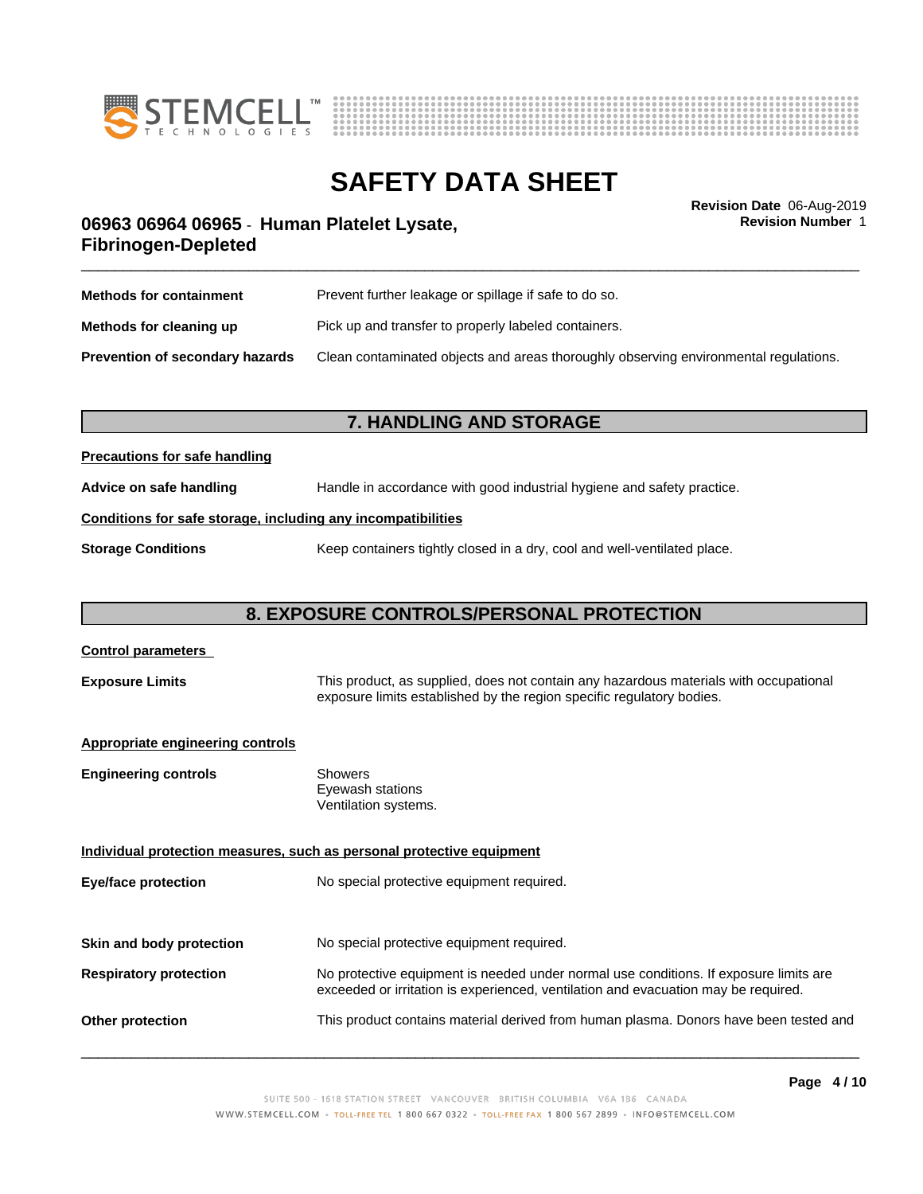



**Revision Number** 1

# \_\_\_\_\_\_\_\_\_\_\_\_\_\_\_\_\_\_\_\_\_\_\_\_\_\_\_\_\_\_\_\_\_\_\_\_\_\_\_\_\_\_\_\_\_\_\_\_\_\_\_\_\_\_\_\_\_\_\_\_\_\_\_\_\_\_\_\_\_\_\_\_\_\_\_\_\_\_\_\_\_\_\_\_\_\_\_\_\_\_\_\_\_ **Revision Date** 06-Aug-2019 **06963 06964 06965** - **Human Platelet Lysate, Fibrinogen-Depleted**

| <b>Methods for containment</b>         | Prevent further leakage or spillage if safe to do so.                                |  |
|----------------------------------------|--------------------------------------------------------------------------------------|--|
| Methods for cleaning up                | Pick up and transfer to properly labeled containers.                                 |  |
| <b>Prevention of secondary hazards</b> | Clean contaminated objects and areas thoroughly observing environmental regulations. |  |

### **7. HANDLING AND STORAGE**

### **Precautions for safe handling**

**Advice on safe handling** Handle in accordance with good industrial hygiene and safety practice.

### **Conditions for safe storage, including any incompatibilities**

**Storage Conditions** Keep containers tightly closed in a dry, cool and well-ventilated place.

## **8. EXPOSURE CONTROLS/PERSONAL PROTECTION**

| <b>Control parameters</b>                                             |                                                                                                                                                                             |  |
|-----------------------------------------------------------------------|-----------------------------------------------------------------------------------------------------------------------------------------------------------------------------|--|
| <b>Exposure Limits</b>                                                | This product, as supplied, does not contain any hazardous materials with occupational<br>exposure limits established by the region specific regulatory bodies.              |  |
| <b>Appropriate engineering controls</b>                               |                                                                                                                                                                             |  |
| <b>Engineering controls</b>                                           | <b>Showers</b><br>Eyewash stations<br>Ventilation systems.                                                                                                                  |  |
| Individual protection measures, such as personal protective equipment |                                                                                                                                                                             |  |
| Eye/face protection                                                   | No special protective equipment required.                                                                                                                                   |  |
| Skin and body protection                                              | No special protective equipment required.                                                                                                                                   |  |
| <b>Respiratory protection</b>                                         | No protective equipment is needed under normal use conditions. If exposure limits are<br>exceeded or irritation is experienced, ventilation and evacuation may be required. |  |
| <b>Other protection</b>                                               | This product contains material derived from human plasma. Donors have been tested and                                                                                       |  |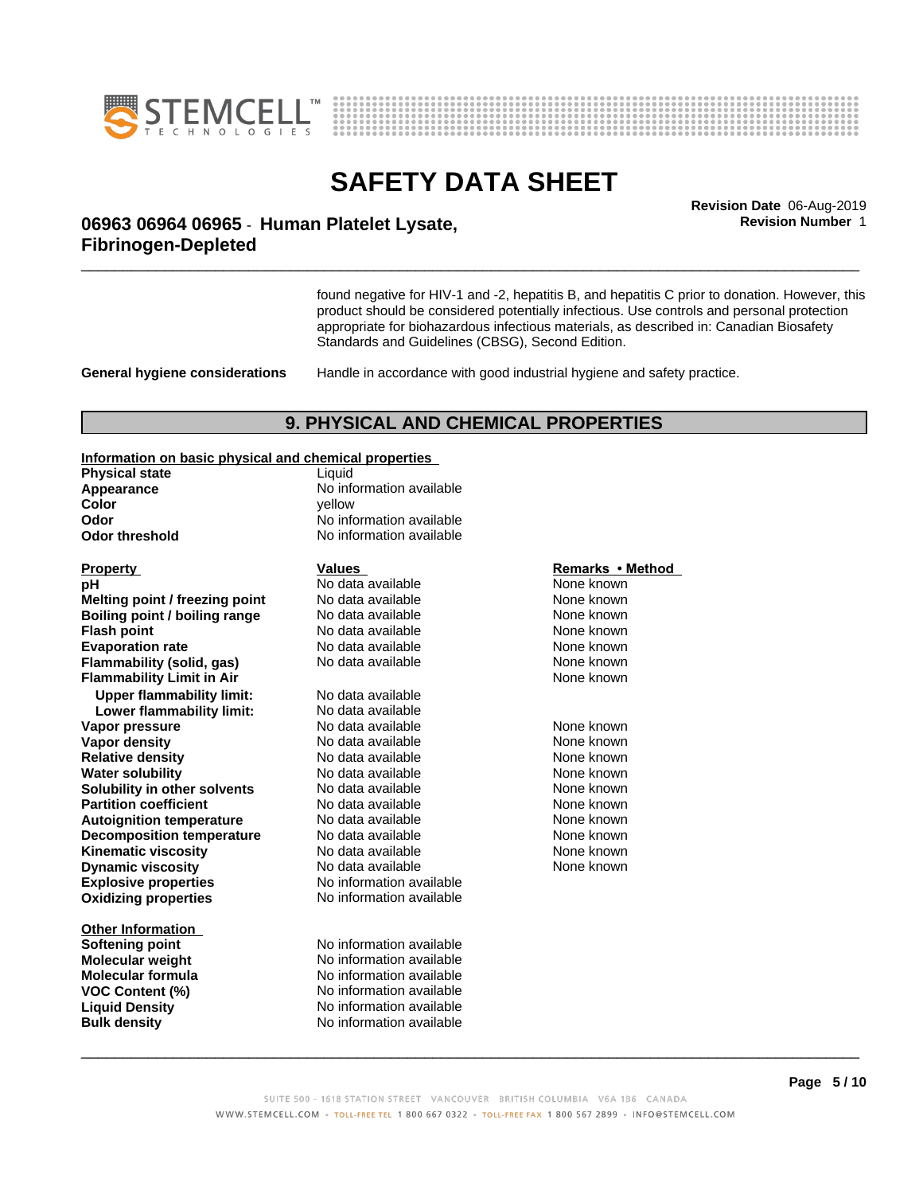



**Revision Number** 1

# \_\_\_\_\_\_\_\_\_\_\_\_\_\_\_\_\_\_\_\_\_\_\_\_\_\_\_\_\_\_\_\_\_\_\_\_\_\_\_\_\_\_\_\_\_\_\_\_\_\_\_\_\_\_\_\_\_\_\_\_\_\_\_\_\_\_\_\_\_\_\_\_\_\_\_\_\_\_\_\_\_\_\_\_\_\_\_\_\_\_\_\_\_ **Revision Date** 06-Aug-2019 **06963 06964 06965** - **Human Platelet Lysate, Fibrinogen-Depleted**

found negative for HIV-1 and -2, hepatitis B, and hepatitis C prior to donation. However, this product should be considered potentially infectious. Use controls and personal protection appropriate for biohazardous infectious materials, as described in: Canadian Biosafety Standards and Guidelines (CBSG), Second Edition.

**General hygiene considerations** Handle in accordance with good industrial hygiene and safety practice.

### **9. PHYSICAL AND CHEMICAL PROPERTIES**

**Information on basic physical and chemical properties**

| information on basic physical and chemical properties |                                 |                  |  |
|-------------------------------------------------------|---------------------------------|------------------|--|
| <b>Physical state</b>                                 | Liquid                          |                  |  |
| Appearance                                            | No information available        |                  |  |
| Color                                                 | vellow                          |                  |  |
| Odor                                                  | No information available        |                  |  |
| <b>Odor threshold</b>                                 | No information available        |                  |  |
| <b>Property</b>                                       | Values                          | Remarks • Method |  |
| рH                                                    | No data available               | None known       |  |
| Melting point / freezing point                        | No data available               | None known       |  |
| <b>Boiling point / boiling range</b>                  | No data available               | None known       |  |
| <b>Flash point</b>                                    | No data available               | None known       |  |
| <b>Evaporation rate</b>                               | No data available               | None known       |  |
| Flammability (solid, gas)                             | None known<br>No data available |                  |  |
| <b>Flammability Limit in Air</b>                      |                                 | None known       |  |
| <b>Upper flammability limit:</b>                      | No data available               |                  |  |
| Lower flammability limit:                             | No data available               |                  |  |
| Vapor pressure                                        | No data available               | None known       |  |
| Vapor density                                         | No data available               | None known       |  |
| <b>Relative density</b>                               | No data available               | None known       |  |
| <b>Water solubility</b>                               | No data available               | None known       |  |
| Solubility in other solvents                          | No data available               | None known       |  |
| <b>Partition coefficient</b>                          | No data available               | None known       |  |
| <b>Autoignition temperature</b>                       | No data available               | None known       |  |
| <b>Decomposition temperature</b>                      | No data available               | None known       |  |
| <b>Kinematic viscosity</b>                            | No data available               | None known       |  |
| <b>Dynamic viscosity</b>                              | No data available               | None known       |  |
| <b>Explosive properties</b>                           | No information available        |                  |  |
| <b>Oxidizing properties</b>                           | No information available        |                  |  |
| <b>Other Information</b>                              |                                 |                  |  |
| Softening point                                       | No information available        |                  |  |
| <b>Molecular weight</b>                               | No information available        |                  |  |
| <b>Molecular formula</b>                              | No information available        |                  |  |
| <b>VOC Content (%)</b>                                | No information available        |                  |  |

**Liquid Density** No information available **Bulk density** No information available

### **Remarks** • Method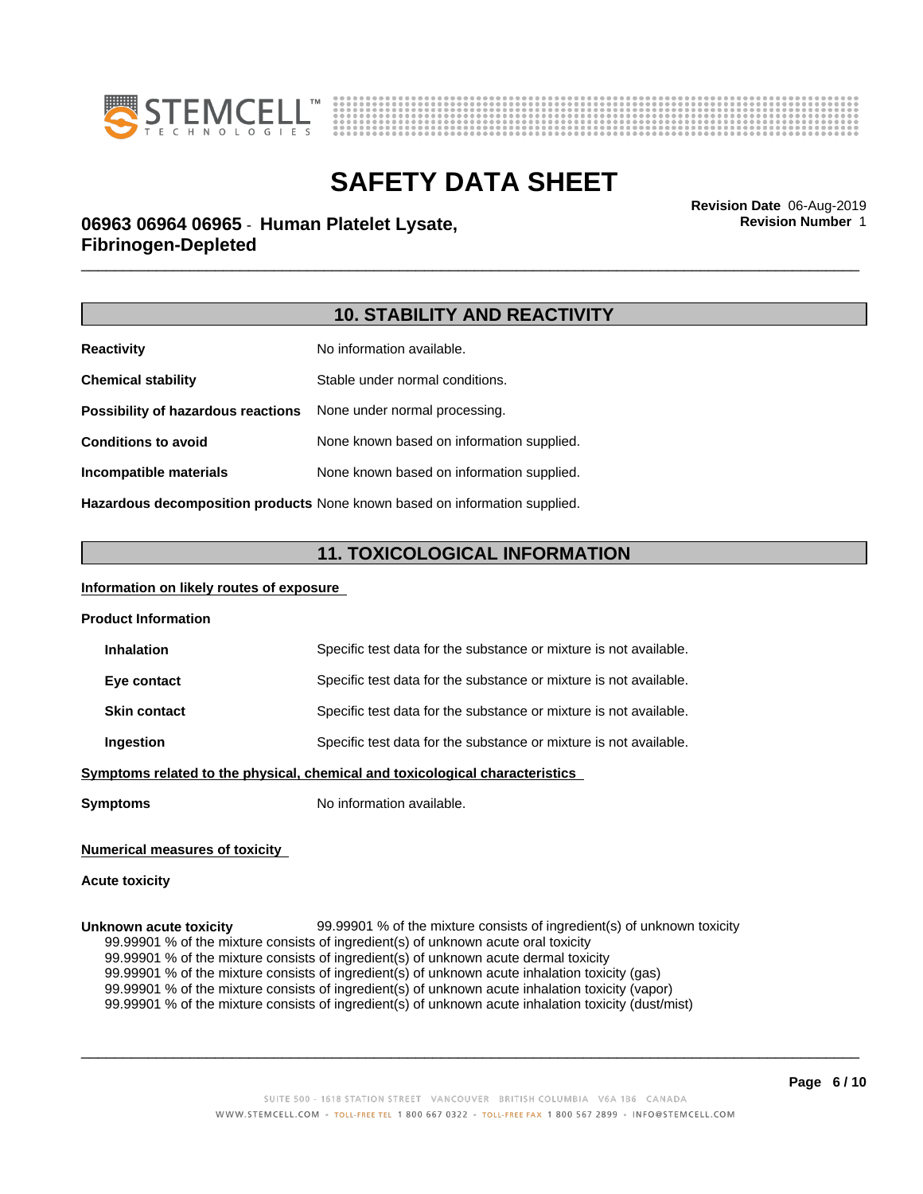



**Revision Number** 1

# \_\_\_\_\_\_\_\_\_\_\_\_\_\_\_\_\_\_\_\_\_\_\_\_\_\_\_\_\_\_\_\_\_\_\_\_\_\_\_\_\_\_\_\_\_\_\_\_\_\_\_\_\_\_\_\_\_\_\_\_\_\_\_\_\_\_\_\_\_\_\_\_\_\_\_\_\_\_\_\_\_\_\_\_\_\_\_\_\_\_\_\_\_ **Revision Date** 06-Aug-2019 **06963 06964 06965** - **Human Platelet Lysate, Fibrinogen-Depleted**

### **10. STABILITY AND REACTIVITY**

| <b>Reactivity</b>                  | No information available.                 |
|------------------------------------|-------------------------------------------|
| <b>Chemical stability</b>          | Stable under normal conditions.           |
| Possibility of hazardous reactions | None under normal processing.             |
| <b>Conditions to avoid</b>         | None known based on information supplied. |
| Incompatible materials             | None known based on information supplied. |
|                                    |                                           |

**Hazardous decomposition products** None known based on information supplied.

## **11. TOXICOLOGICAL INFORMATION**

### **Information on likely routes of exposure**

| <b>Inhalation</b>                                                         | Specific test data for the substance or mixture is not available. |
|---------------------------------------------------------------------------|-------------------------------------------------------------------|
| Eye contact                                                               | Specific test data for the substance or mixture is not available. |
| <b>Skin contact</b>                                                       | Specific test data for the substance or mixture is not available. |
| Ingestion                                                                 | Specific test data for the substance or mixture is not available. |
| mptome related to the physical chemical and toxicological characteristics |                                                                   |

**Symptoms related to the physical,chemical and toxicological characteristics**

**Symptoms** No information available.

### **Numerical measures of toxicity**

### **Acute toxicity**

**Unknown acute toxicity** 99.99901 % of the mixture consists of ingredient(s) of unknown toxicity 99.99901 % of the mixture consists of ingredient(s) of unknown acute oral toxicity 99.99901 % of the mixture consists of ingredient(s) of unknown acute dermal toxicity 99.99901 % of the mixture consists of ingredient(s) of unknown acute inhalation toxicity (gas) 99.99901 % of the mixture consists of ingredient(s) of unknown acute inhalation toxicity (vapor) 99.99901 % of the mixture consists of ingredient(s) of unknown acute inhalation toxicity (dust/mist)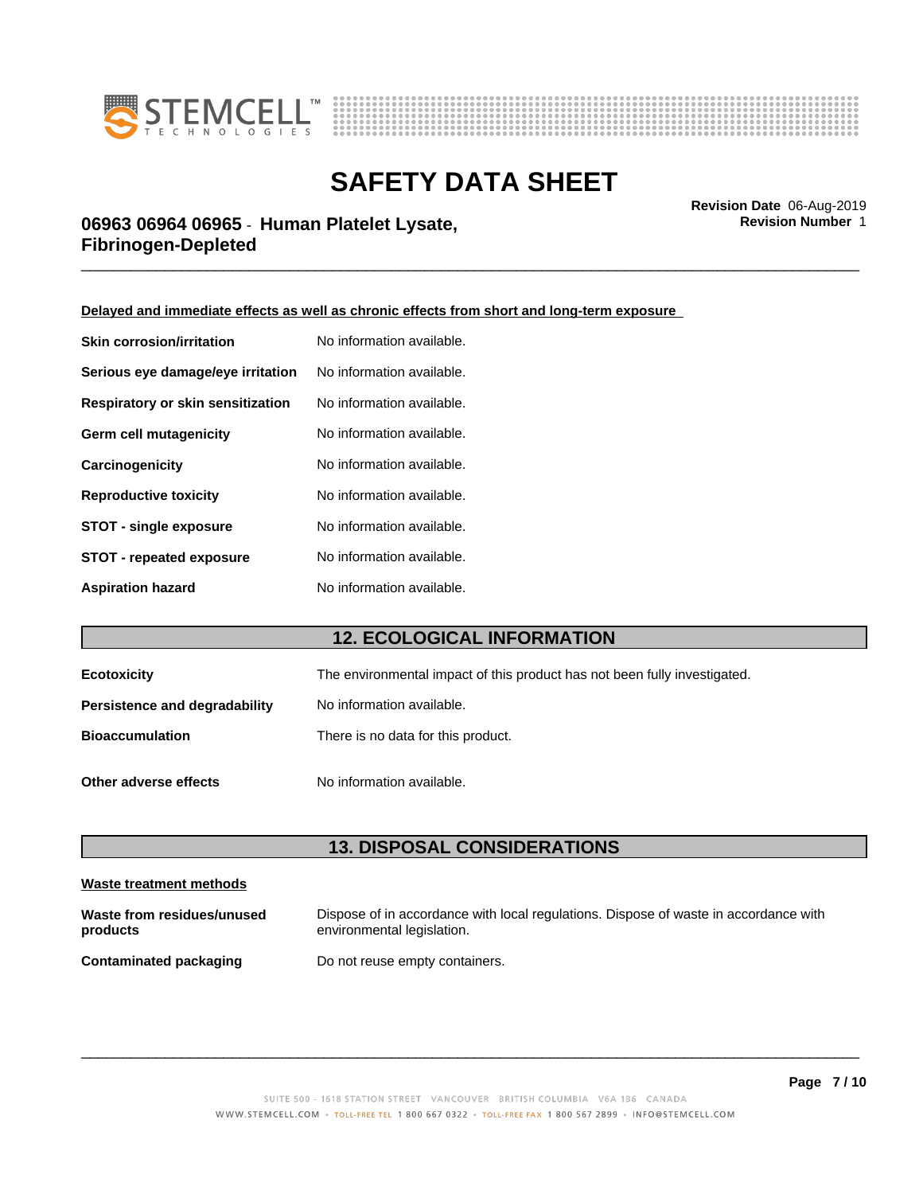



**Revision Number** 1

# \_\_\_\_\_\_\_\_\_\_\_\_\_\_\_\_\_\_\_\_\_\_\_\_\_\_\_\_\_\_\_\_\_\_\_\_\_\_\_\_\_\_\_\_\_\_\_\_\_\_\_\_\_\_\_\_\_\_\_\_\_\_\_\_\_\_\_\_\_\_\_\_\_\_\_\_\_\_\_\_\_\_\_\_\_\_\_\_\_\_\_\_\_ **Revision Date** 06-Aug-2019 **06963 06964 06965** - **Human Platelet Lysate, Fibrinogen-Depleted**

**Delayed and immediate effects as well as chronic effects from short and long-term exposure**

| <b>Skin corrosion/irritation</b>  | No information available. |
|-----------------------------------|---------------------------|
| Serious eye damage/eye irritation | No information available. |
| Respiratory or skin sensitization | No information available. |
| Germ cell mutagenicity            | No information available. |
| Carcinogenicity                   | No information available. |
| <b>Reproductive toxicity</b>      | No information available. |
| <b>STOT - single exposure</b>     | No information available. |
| <b>STOT - repeated exposure</b>   | No information available. |
| <b>Aspiration hazard</b>          | No information available. |

## **12. ECOLOGICAL INFORMATION**

| Ecotoxicity                   | The environmental impact of this product has not been fully investigated. |
|-------------------------------|---------------------------------------------------------------------------|
| Persistence and degradability | No information available.                                                 |
| <b>Bioaccumulation</b>        | There is no data for this product.                                        |
| Other adverse effects         | No information available.                                                 |

### **13. DISPOSAL CONSIDERATIONS**

| Waste treatment methods                |                                                                                                                    |  |
|----------------------------------------|--------------------------------------------------------------------------------------------------------------------|--|
| Waste from residues/unused<br>products | Dispose of in accordance with local regulations. Dispose of waste in accordance with<br>environmental legislation. |  |
| <b>Contaminated packaging</b>          | Do not reuse empty containers.                                                                                     |  |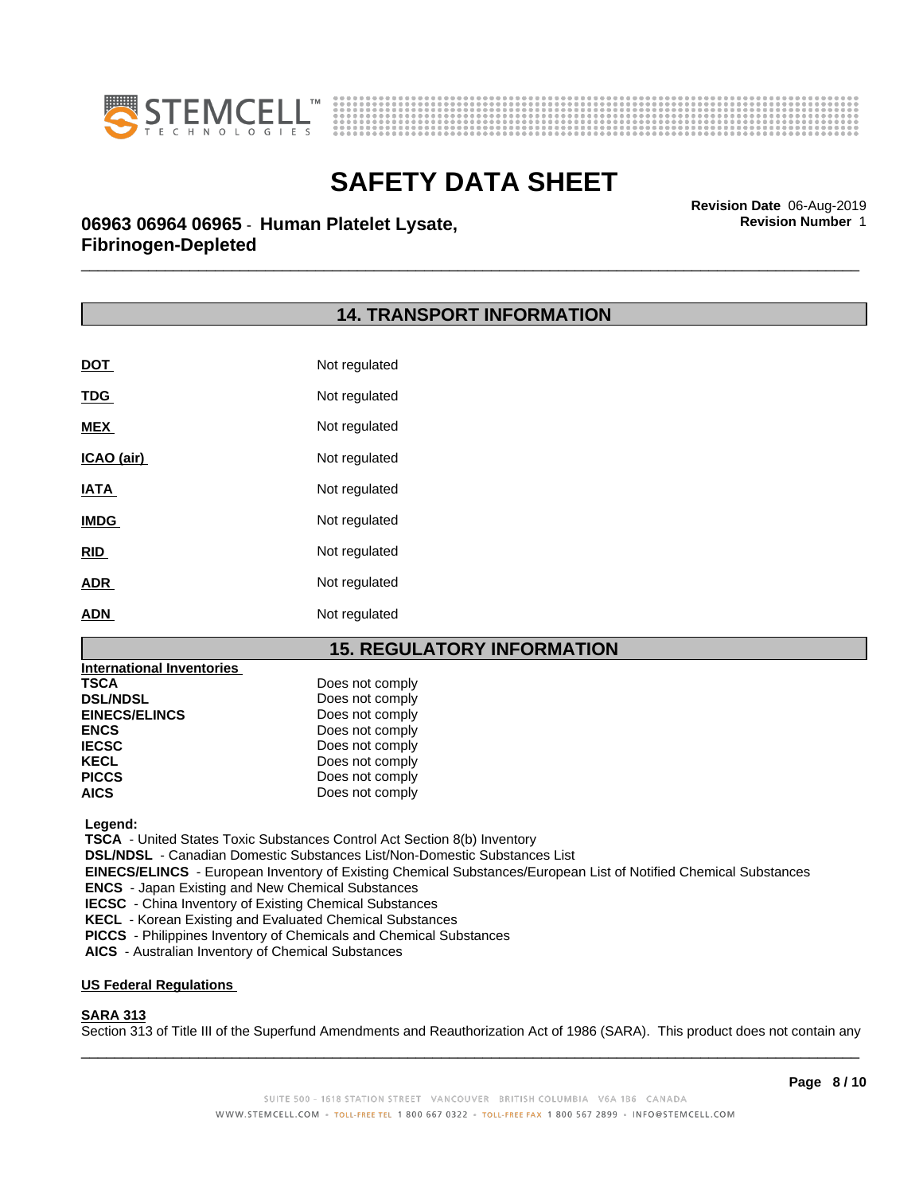



**Revision Number** 1

# \_\_\_\_\_\_\_\_\_\_\_\_\_\_\_\_\_\_\_\_\_\_\_\_\_\_\_\_\_\_\_\_\_\_\_\_\_\_\_\_\_\_\_\_\_\_\_\_\_\_\_\_\_\_\_\_\_\_\_\_\_\_\_\_\_\_\_\_\_\_\_\_\_\_\_\_\_\_\_\_\_\_\_\_\_\_\_\_\_\_\_\_\_ **Revision Date** 06-Aug-2019 **06963 06964 06965** - **Human Platelet Lysate, Fibrinogen-Depleted**

### **14. TRANSPORT INFORMATION**

| <b>DOT</b>  | Not regulated |
|-------------|---------------|
| <b>TDG</b>  | Not regulated |
| <b>MEX</b>  | Not regulated |
| ICAO (air)  | Not regulated |
| <b>IATA</b> | Not regulated |
| <b>IMDG</b> | Not regulated |
| <b>RID</b>  | Not regulated |
| <b>ADR</b>  | Not regulated |
| <b>ADN</b>  | Not regulated |

### **15. REGULATORY INFORMATION**

| International Inventories |                 |
|---------------------------|-----------------|
| <b>TSCA</b>               | Does not comply |
| <b>DSL/NDSL</b>           | Does not comply |
| <b>EINECS/ELINCS</b>      | Does not comply |
| <b>ENCS</b>               | Does not comply |
| <b>IECSC</b>              | Does not comply |
| <b>KECL</b>               | Does not comply |
| <b>PICCS</b>              | Does not comply |
| <b>AICS</b>               | Does not comply |

 **Legend:**

 **TSCA** - United States Toxic Substances Control Act Section 8(b) Inventory

 **DSL/NDSL** - Canadian Domestic Substances List/Non-Domestic Substances List

 **EINECS/ELINCS** - European Inventory of Existing Chemical Substances/European List of Notified Chemical Substances

 **ENCS** - Japan Existing and New Chemical Substances

 **IECSC** - China Inventory of Existing Chemical Substances

 **KECL** - Korean Existing and Evaluated Chemical Substances

 **PICCS** - Philippines Inventory of Chemicals and Chemical Substances

 **AICS** - Australian Inventory of Chemical Substances

#### **US Federal Regulations**

### **SARA 313**

Section 313 of Title III of the Superfund Amendments and Reauthorization Act of 1986 (SARA). This product does not contain any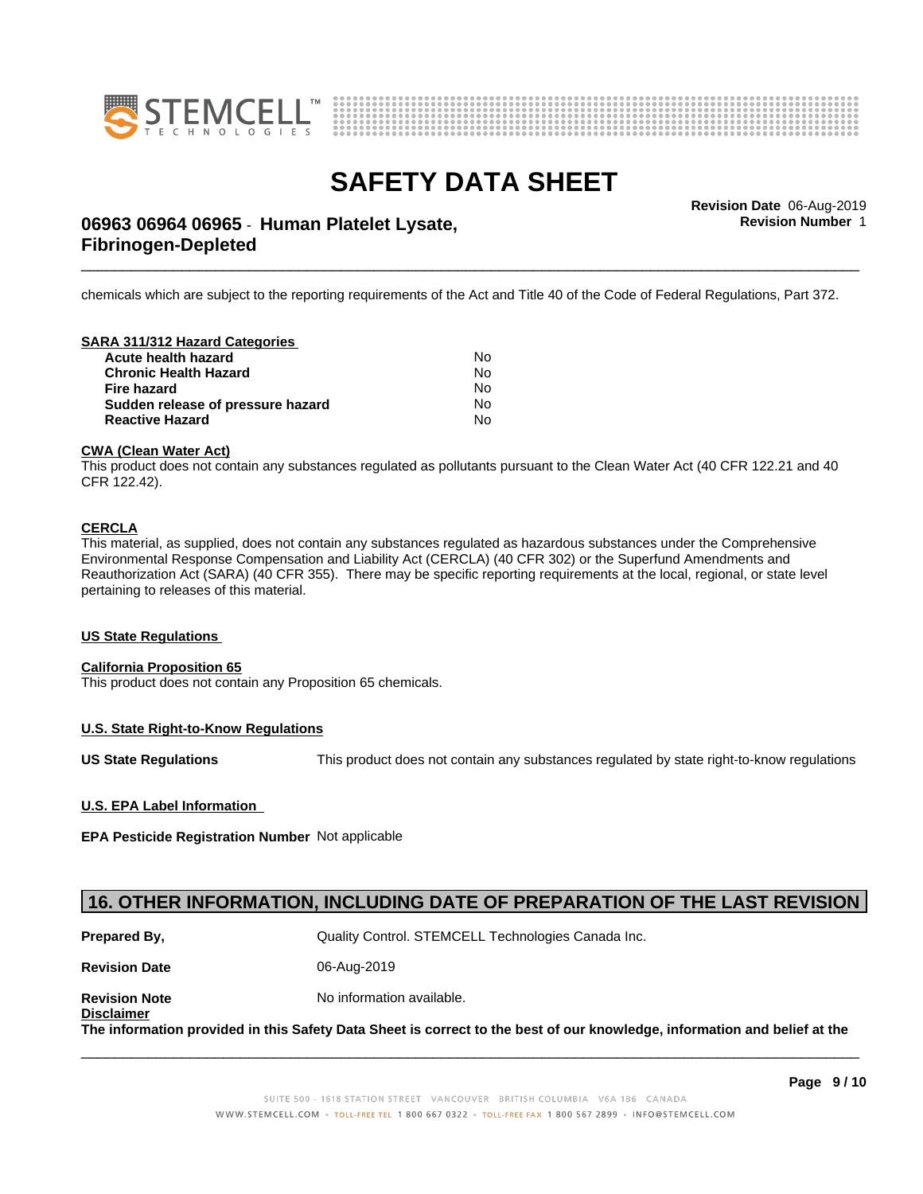



**Revision Number** 1

# \_\_\_\_\_\_\_\_\_\_\_\_\_\_\_\_\_\_\_\_\_\_\_\_\_\_\_\_\_\_\_\_\_\_\_\_\_\_\_\_\_\_\_\_\_\_\_\_\_\_\_\_\_\_\_\_\_\_\_\_\_\_\_\_\_\_\_\_\_\_\_\_\_\_\_\_\_\_\_\_\_\_\_\_\_\_\_\_\_\_\_\_\_ **Revision Date** 06-Aug-2019 **06963 06964 06965** - **Human Platelet Lysate, Fibrinogen-Depleted**

chemicals which are subject to the reporting requirements of the Act and Title 40 of the Code of Federal Regulations, Part 372.

#### **SARA 311/312 Hazard Categories**

| No. |  |
|-----|--|
| N٥  |  |
| N∩  |  |
| No. |  |
| N٥  |  |
|     |  |

#### **CWA (Clean WaterAct)**

This product does not contain any substances regulated as pollutants pursuant to the Clean Water Act (40 CFR 122.21 and 40 CFR 122.42).

### **CERCLA**

This material, as supplied, does not contain any substances regulated as hazardous substances under the Comprehensive Environmental Response Compensation and Liability Act (CERCLA) (40 CFR 302) or the Superfund Amendments and Reauthorization Act (SARA) (40 CFR 355). There may be specific reporting requirements at the local, regional, or state level pertaining to releases of this material.

#### **US State Regulations**

### **California Proposition 65**

This product does not contain any Proposition 65 chemicals.

### **U.S. State Right-to-Know Regulations**

**US State Regulations** This product does not contain any substances regulated by state right-to-know regulations

### **U.S. EPA Label Information**

**Disclaimer**

**EPA Pesticide Registration Number** Notapplicable

### **16. OTHER INFORMATION, INCLUDING DATE OF PREPARATION OF THE LAST REVISION**

| Prepared By,         | Quality Control. STEMCELL Technologies Canada Inc. |
|----------------------|----------------------------------------------------|
| <b>Revision Date</b> | 06-Aug-2019                                        |
| <b>Revision Note</b> | No information available.                          |

The information provided in this Safety Data Sheet is correct to the best of our knowledge, information and belief at the